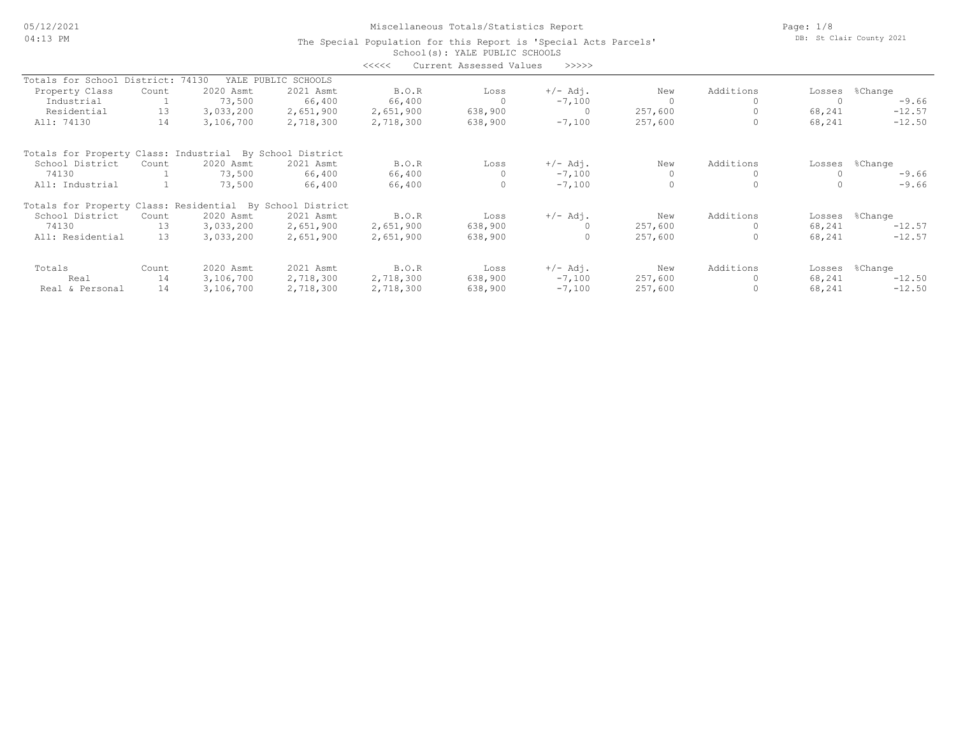05/12/2021 04:13 PM

Miscellaneous Totals/Statistics Report

Page: 1/8 DB: St Clair County 2021

|                                                           |           |           |                     | <<<<      | Current Assessed Values | >>>>>          |         |           |        |          |
|-----------------------------------------------------------|-----------|-----------|---------------------|-----------|-------------------------|----------------|---------|-----------|--------|----------|
| Totals for School                                         | District: | 74130     | YALE PUBLIC SCHOOLS |           |                         |                |         |           |        |          |
| Property Class                                            | Count     | 2020 Asmt | 2021 Asmt           | B.O.R     | Loss                    | $+/-$ Adj.     | New     | Additions | Losses | %Change  |
| Industrial                                                |           | 73,500    | 66,400              | 66,400    |                         | $-7,100$       |         |           |        | $-9.66$  |
| Residential                                               | 13        | 3,033,200 | 2,651,900           | 2,651,900 | 638,900                 | $\overline{0}$ | 257,600 |           | 68,241 | $-12.57$ |
| All: 74130                                                | 14        | 3,106,700 | 2,718,300           | 2,718,300 | 638,900                 | $-7,100$       | 257,600 |           | 68,241 | $-12.50$ |
| Totals for Property Class: Industrial By School District  |           |           |                     |           |                         |                |         |           |        |          |
| School District                                           | Count     | 2020 Asmt | 2021 Asmt           | B.O.R     | Loss                    | $+/-$ Adj.     | New     | Additions | Losses | %Change  |
| 74130                                                     |           | 73,500    | 66,400              | 66,400    | $\circ$                 | $-7,100$       |         |           |        | $-9.66$  |
| All: Industrial                                           |           | 73,500    | 66,400              | 66,400    | $\circ$                 | $-7,100$       |         |           |        | $-9.66$  |
| Totals for Property Class: Residential By School District |           |           |                     |           |                         |                |         |           |        |          |
| School District                                           | Count     | 2020 Asmt | 2021 Asmt           | B.O.R     | Loss                    | $+/-$ Adj.     | New     | Additions | Losses | %Change  |
| 74130                                                     | 13        | 3,033,200 | 2,651,900           | 2,651,900 | 638,900                 |                | 257,600 |           | 68,241 | $-12.57$ |
| All: Residential                                          | 13        | 3,033,200 | 2,651,900           | 2,651,900 | 638,900                 | $\Omega$       | 257,600 |           | 68,241 | $-12.57$ |
| Totals                                                    | Count     | 2020 Asmt | 2021 Asmt           | B.O.R     | Loss                    | $+/-$ Adj.     | New     | Additions | Losses | %Change  |
| Real                                                      | 14        | 3,106,700 | 2,718,300           | 2,718,300 | 638,900                 | $-7,100$       | 257,600 |           | 68,241 | $-12.50$ |
| Real & Personal                                           | 14        | 3,106,700 | 2,718,300           | 2,718,300 | 638,900                 | $-7,100$       | 257,600 |           | 68,241 | $-12.50$ |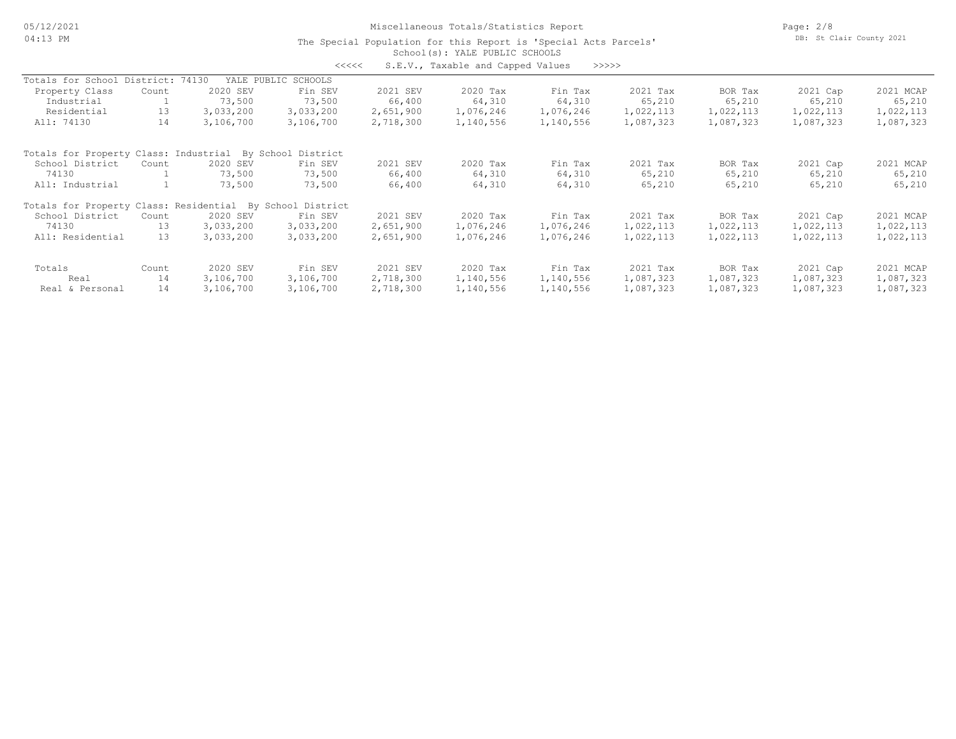### School(s): YALE PUBLIC SCHOOLS The Special Population for this Report is 'Special Acts Parcels'

<<<<< S.E.V., Taxable and Capped Values >>>>>

| Totals for School District: 74130                         |       |           | YALE PUBLIC SCHOOLS |           |           |           |           |           |           |           |
|-----------------------------------------------------------|-------|-----------|---------------------|-----------|-----------|-----------|-----------|-----------|-----------|-----------|
| Property Class                                            | Count | 2020 SEV  | Fin SEV             | 2021 SEV  | 2020 Tax  | Fin Tax   | 2021 Tax  | BOR Tax   | 2021 Cap  | 2021 MCAP |
| Industrial                                                |       | 73,500    | 73,500              | 66,400    | 64,310    | 64,310    | 65,210    | 65,210    | 65,210    | 65,210    |
| Residential                                               | 13    | 3,033,200 | 3,033,200           | 2,651,900 | 1,076,246 | 1,076,246 | 1,022,113 | 1,022,113 | 1,022,113 | 1,022,113 |
| All: 74130                                                | 14    | 3,106,700 | 3,106,700           | 2,718,300 | 1,140,556 | 1,140,556 | 1,087,323 | 1,087,323 | 1,087,323 | 1,087,323 |
| Totals for Property Class: Industrial                     |       | By School | District            |           |           |           |           |           |           |           |
| School District                                           | Count | 2020 SEV  | Fin SEV             | 2021 SEV  | 2020 Tax  | Fin Tax   | 2021 Tax  | BOR Tax   | 2021 Cap  | 2021 MCAP |
| 74130                                                     |       | 73,500    | 73,500              | 66,400    | 64,310    | 64,310    | 65,210    | 65,210    | 65,210    | 65,210    |
| All: Industrial                                           |       | 73,500    | 73,500              | 66,400    | 64,310    | 64,310    | 65,210    | 65,210    | 65,210    | 65,210    |
| Totals for Property Class: Residential By School District |       |           |                     |           |           |           |           |           |           |           |
| School District                                           | Count | 2020 SEV  | Fin SEV             | 2021 SEV  | 2020 Tax  | Fin Tax   | 2021 Tax  | BOR Tax   | 2021 Cap  | 2021 MCAP |
| 74130                                                     | 13    | 3,033,200 | 3,033,200           | 2,651,900 | 1,076,246 | 1,076,246 | 1,022,113 | 1,022,113 | 1,022,113 | 1,022,113 |
| All: Residential                                          | 13    | 3,033,200 | 3,033,200           | 2,651,900 | 1,076,246 | 1,076,246 | 1,022,113 | 1,022,113 | 1,022,113 | 1,022,113 |
| Totals                                                    | Count | 2020 SEV  | Fin SEV             | 2021 SEV  | 2020 Tax  | Fin Tax   | 2021 Tax  | BOR Tax   | 2021 Cap  | 2021 MCAP |
| Real                                                      | 14    | 3,106,700 | 3,106,700           | 2,718,300 | 1,140,556 | 1,140,556 | 1,087,323 | 1,087,323 | 1,087,323 | 1,087,323 |
| Real & Personal                                           | 14    | 3,106,700 | 3,106,700           | 2,718,300 | 1,140,556 | 1,140,556 | 1,087,323 | 1,087,323 | 1,087,323 | 1,087,323 |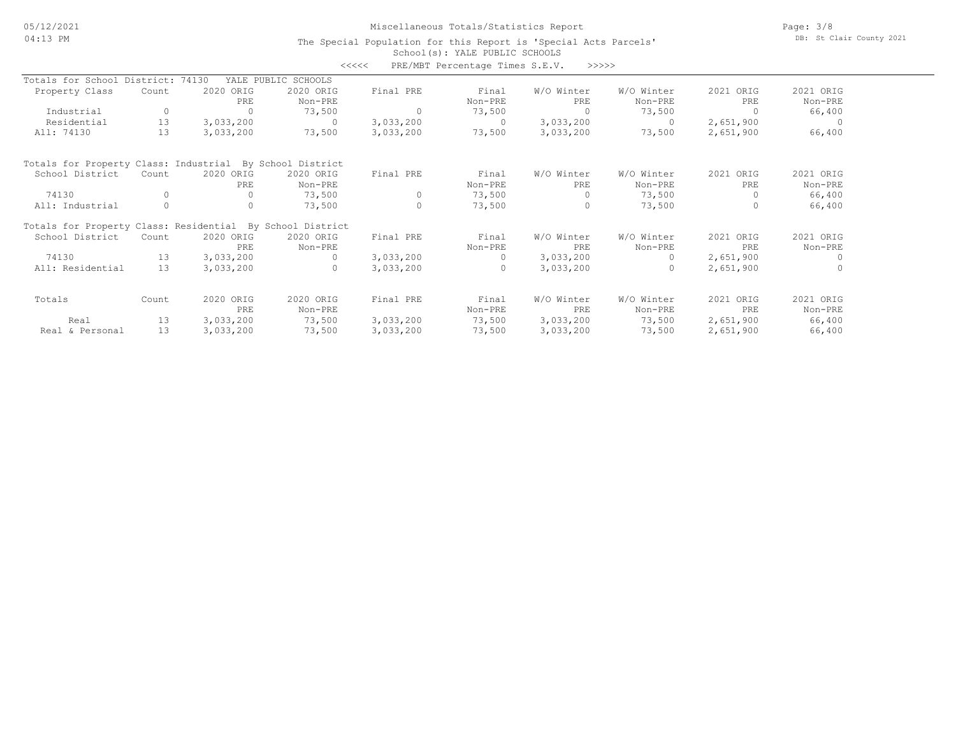# Miscellaneous Totals/Statistics Report

Page: 3/8 DB: St Clair County 2021

|                                                           |          |           |                     | <<<<      | PRE/MBT Percentage Times S.E.V. | >>>>>      |            |           |                |
|-----------------------------------------------------------|----------|-----------|---------------------|-----------|---------------------------------|------------|------------|-----------|----------------|
| Totals for School District: 74130                         |          |           | YALE PUBLIC SCHOOLS |           |                                 |            |            |           |                |
| Property Class                                            | Count    | 2020 ORIG | 2020 ORIG           | Final PRE | Final                           | W/O Winter | W/O Winter | 2021 ORIG | 2021 ORIG      |
|                                                           |          | PRE       | Non-PRE             |           | Non-PRE                         | PRE        | Non-PRE    | PRE       | Non-PRE        |
| Industrial                                                | 0        | $\circ$   | 73,500              | 0         | 73,500                          | $\Omega$   | 73,500     | $\Omega$  | 66,400         |
| Residential                                               | 13       | 3,033,200 | $\Omega$            | 3,033,200 | $\Omega$                        | 3,033,200  | $\Omega$   | 2,651,900 | $\overline{0}$ |
| All: 74130                                                | 13       | 3,033,200 | 73,500              | 3,033,200 | 73,500                          | 3,033,200  | 73,500     | 2,651,900 | 66,400         |
| Totals for Property Class: Industrial By School District  |          |           |                     |           |                                 |            |            |           |                |
| School District                                           | Count    | 2020 ORIG | 2020 ORIG           | Final PRE | Final                           | W/O Winter | W/O Winter | 2021 ORIG | 2021 ORIG      |
|                                                           |          | PRE       | Non-PRE             |           | Non-PRE                         | PRE        | Non-PRE    | PRE       | Non-PRE        |
| 74130                                                     | $\Omega$ | 0         | 73,500              | 0         | 73,500                          | $\Omega$   | 73,500     | $\Omega$  | 66,400         |
| All: Industrial                                           | $\Omega$ | $\Omega$  | 73,500              | $\Omega$  | 73,500                          | $\Omega$   | 73,500     | $\Omega$  | 66,400         |
| Totals for Property Class: Residential By School District |          |           |                     |           |                                 |            |            |           |                |
| School District                                           | Count    | 2020 ORIG | 2020 ORIG           | Final PRE | Final                           | W/O Winter | W/O Winter | 2021 ORIG | 2021 ORIG      |
|                                                           |          | PRE       | Non-PRE             |           | Non-PRE                         | PRE        | Non-PRE    | PRE       | Non-PRE        |
| 74130                                                     | 13       | 3,033,200 | $\cap$              | 3,033,200 | $\Omega$                        | 3,033,200  | $\cap$     | 2,651,900 | $\bigcap$      |
| All: Residential                                          | 13       | 3,033,200 | $\Omega$            | 3,033,200 | $\Omega$                        | 3,033,200  | $\Omega$   | 2,651,900 | $\Omega$       |
| Totals                                                    | Count    | 2020 ORIG | 2020 ORIG           | Final PRE | Final                           | W/O Winter | W/O Winter | 2021 ORIG | 2021 ORIG      |
|                                                           |          | PRE       | Non-PRE             |           | Non-PRE                         | PRE        | Non-PRE    | PRE       | Non-PRE        |
| Real                                                      | 13       | 3,033,200 | 73,500              | 3,033,200 | 73,500                          | 3,033,200  | 73,500     | 2,651,900 | 66,400         |
| Real & Personal                                           | 13       | 3,033,200 | 73,500              | 3,033,200 | 73,500                          | 3,033,200  | 73,500     | 2,651,900 | 66,400         |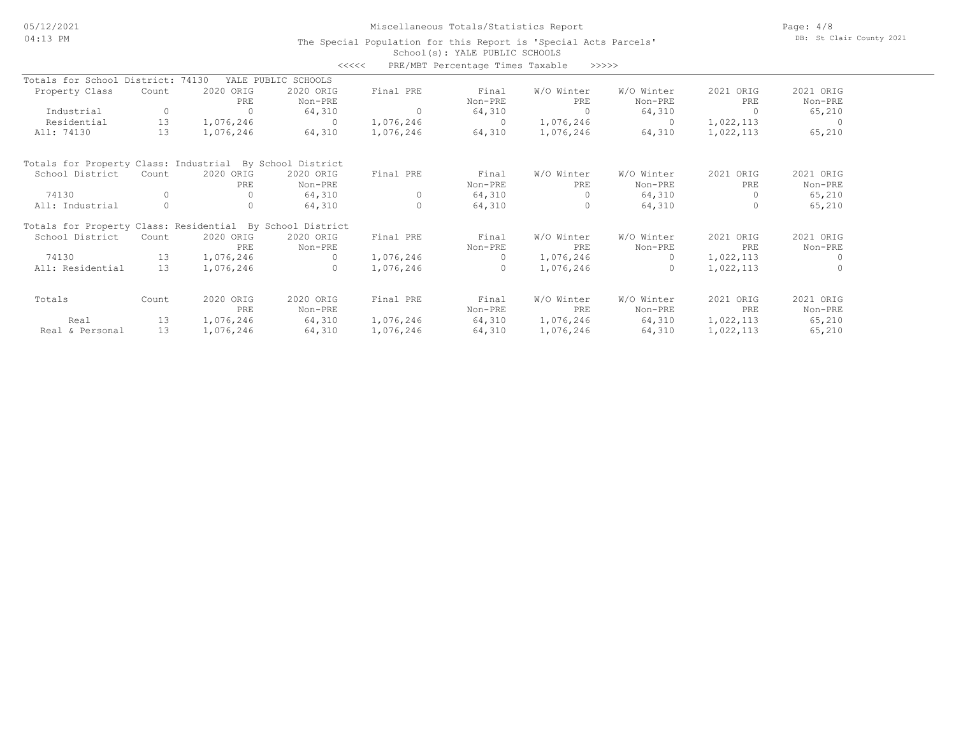# Miscellaneous Totals/Statistics Report

Page: 4/8 DB: St Clair County 2021

|                                                           |       |              | <<<<                |           | PRE/MBT Percentage Times Taxable | >>>>>      |            |           |           |
|-----------------------------------------------------------|-------|--------------|---------------------|-----------|----------------------------------|------------|------------|-----------|-----------|
| Totals for School District: 74130                         |       |              | YALE PUBLIC SCHOOLS |           |                                  |            |            |           |           |
| Property Class                                            | Count | 2020 ORIG    | 2020 ORIG           | Final PRE | Final                            | W/O Winter | W/O Winter | 2021 ORIG | 2021 ORIG |
|                                                           |       | PRE          | Non-PRE             |           | Non-PRE                          | PRE        | Non-PRE    | PRE       | Non-PRE   |
| Industrial                                                | 0     | $\Omega$     | 64,310              | 0         | 64,310                           | $\Omega$   | 64,310     | $\Omega$  | 65,210    |
| Residential                                               | 13    | 1,076,246    | $\Omega$            | 1,076,246 | $\Omega$                         | 1,076,246  | $\Omega$   | 1,022,113 | - 0       |
| All: 74130                                                | 13    | 1,076,246    | 64,310              | 1,076,246 | 64,310                           | 1,076,246  | 64,310     | 1,022,113 | 65,210    |
| Totals for Property Class: Industrial By School District  |       |              |                     |           |                                  |            |            |           |           |
| School District                                           | Count | 2020 ORIG    | 2020 ORIG           | Final PRE | Final                            | W/O Winter | W/O Winter | 2021 ORIG | 2021 ORIG |
|                                                           |       | PRE          | Non-PRE             |           | Non-PRE                          | PRE        | Non-PRE    | PRE       | Non-PRE   |
| 74130                                                     |       | $\mathbf{0}$ | 64,310              | 0         | 64,310                           | 0          | 64,310     | 0         | 65,210    |
| All: Industrial                                           | 0     | $\circ$      | 64,310              | $\circ$   | 64,310                           | $\circ$    | 64,310     | 0         | 65,210    |
| Totals for Property Class: Residential By School District |       |              |                     |           |                                  |            |            |           |           |
| School District                                           | Count | 2020 ORIG    | 2020 ORIG           | Final PRE | Final                            | W/O Winter | W/O Winter | 2021 ORIG | 2021 ORIG |
|                                                           |       | PRE          | Non-PRE             |           | Non-PRE                          | PRE        | Non-PRE    | PRE       | Non-PRE   |
| 74130                                                     | 13    | 1,076,246    |                     | 1,076,246 | $\Omega$                         | 1,076,246  |            | 1,022,113 | $\Omega$  |
| All: Residential                                          | 13    | 1,076,246    |                     | 1,076,246 | $\Omega$                         | 1,076,246  |            | 1,022,113 |           |
| Totals                                                    | Count | 2020 ORIG    | 2020 ORIG           | Final PRE | Final                            | W/O Winter | W/O Winter | 2021 ORIG | 2021 ORIG |
|                                                           |       | PRE          | Non-PRE             |           | Non-PRE                          | PRE        | Non-PRE    | PRE       | Non-PRE   |
| Real                                                      | 13    | 1,076,246    | 64,310              | 1,076,246 | 64,310                           | 1,076,246  | 64,310     | 1,022,113 | 65,210    |
| Real & Personal                                           | 13    | 1,076,246    | 64,310              | 1,076,246 | 64,310                           | 1,076,246  | 64,310     | 1,022,113 | 65,210    |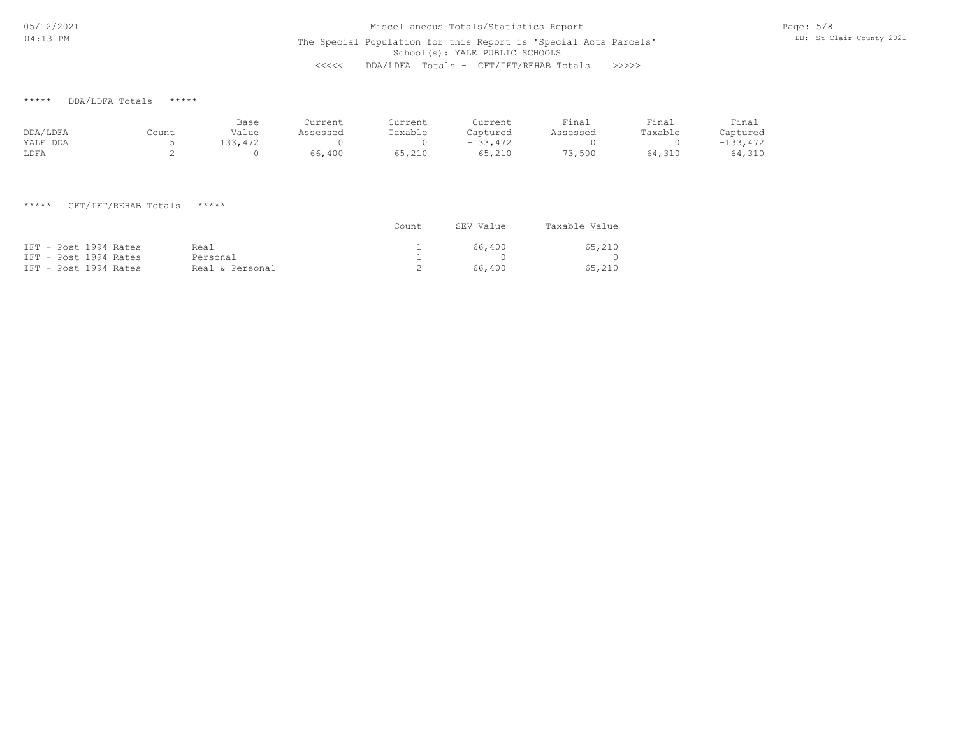# School(s): YALE PUBLIC SCHOOLS Miscellaneous Totals/Statistics Report The Special Population for this Report is 'Special Acts Parcels' <<<<< DDA/LDFA Totals - CFT/IFT/REHAB Totals >>>>>

Page: 5/8 DB: St Clair County 2021

\*\*\*\*\* DDA/LDFA Totals \*\*\*\*\*

|          |       | Base    | Current  | Current | Current    | Final    | Final   | Final      |
|----------|-------|---------|----------|---------|------------|----------|---------|------------|
| DDA/LDFA | Count | Value   | Assessed | Taxable | Captured   | Assessed | Taxable | Captured   |
| YALE DDA |       | 133,472 |          |         | $-133.472$ |          |         | $-133,472$ |
| LDFA     |       |         | 66,400   | 65,210  | 65,210     | 73,500   | 64,310  | 64,310     |

# \*\*\*\*\* CFT/IFT/REHAB Totals \*\*\*\*\*

|                       |                 | Count | SEV Value | Taxable Value |
|-----------------------|-----------------|-------|-----------|---------------|
| IFT - Post 1994 Rates | Real            |       | 66.400    | 65,210        |
| IFT - Post 1994 Rates | Personal        |       |           |               |
| IFT - Post 1994 Rates | Real & Personal |       | 66,400    | 65,210        |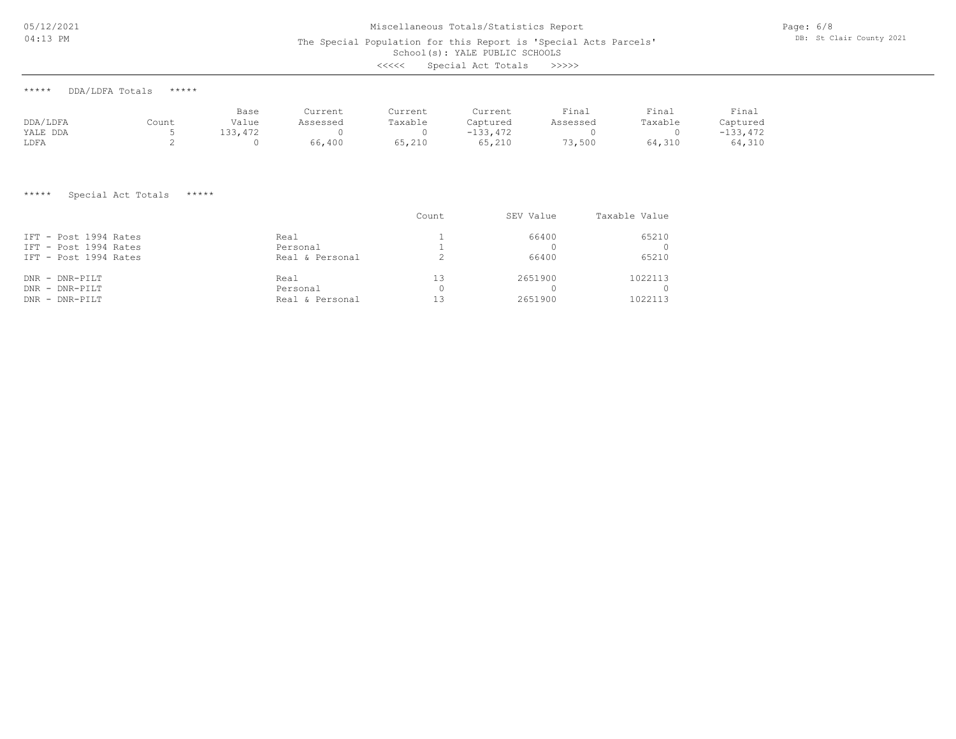05/12/2021 04:13 PM

# Miscellaneous Totals/Statistics Report

The Special Population for this Report is 'Special Acts Parcels'

School(s): YALE PUBLIC SCHOOLS

| <<<< | Special Act Totals |  |  | >>>>> |
|------|--------------------|--|--|-------|
|------|--------------------|--|--|-------|

| DDA/LDFA Totals<br>***** |  | ***** |
|--------------------------|--|-------|
|--------------------------|--|-------|

|          |       | Base    | Current  | Current | Current    | Final    | Final   | Final      |
|----------|-------|---------|----------|---------|------------|----------|---------|------------|
| DDA/LDFA | Count | Value   | Assessed | Taxable | Captured   | Assessed | Taxable | Captured   |
| YALE DDA |       | 133,472 |          |         | $-133,472$ |          |         | $-133,472$ |
| LDFA     |       |         | 66,400   | 65,210  | 65,210     | 73,500   | 64,310  | 64,310     |

### \*\*\*\*\* Special Act Totals \*\*\*\*\*

|                       |                 | Count | SEV Value | Taxable Value |
|-----------------------|-----------------|-------|-----------|---------------|
| IFT - Post 1994 Rates | Real            |       | 66400     | 65210         |
| IFT - Post 1994 Rates | Personal        |       |           | $\Omega$      |
| IFT - Post 1994 Rates | Real & Personal |       | 66400     | 65210         |
| $DNR - DNR-PILT$      | Real            | 13    | 2651900   | 1022113       |
| $DNR - DNR-PILT$      | Personal        |       |           | $\bigcap$     |
| DNR - DNR-PILT        | Real & Personal | 13    | 2651900   | 1022113       |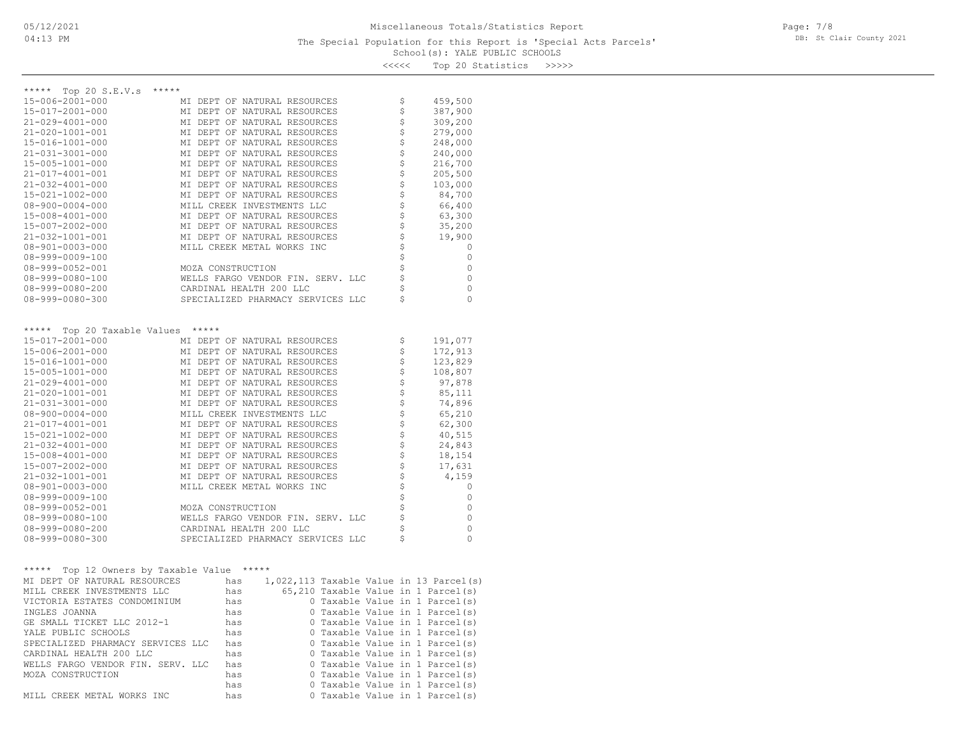## School(s): YALE PUBLIC SCHOOLS The Special Population for this Report is 'Special Acts Parcels'

Page: 7/8 DB: St Clair County 2021

|       |  | 11122 102210 00110020 |       |
|-------|--|-----------------------|-------|
| くくくくく |  | Top 20 Statistics     | >>>>> |

| *****<br>Top 20 S.E.V.s     | *****                             |    |          |
|-----------------------------|-----------------------------------|----|----------|
| 15-006-2001-000             | MI DEPT OF NATURAL RESOURCES      | \$ | 459,500  |
| 15-017-2001-000             | MI DEPT OF NATURAL RESOURCES      | \$ | 387,900  |
| $21 - 029 - 4001 - 000$     | MI DEPT OF NATURAL RESOURCES      | \$ | 309,200  |
| $21 - 020 - 1001 - 001$     | MI DEPT OF NATURAL RESOURCES      | \$ | 279,000  |
| $15 - 016 - 1001 - 000$     | MI DEPT OF NATURAL RESOURCES      | \$ | 248,000  |
| $21 - 031 - 3001 - 000$     | MI DEPT OF NATURAL RESOURCES      | \$ | 240,000  |
| 15-005-1001-000             | MI DEPT OF NATURAL RESOURCES      | \$ | 216,700  |
| 21-017-4001-001             | MI DEPT OF NATURAL RESOURCES      | \$ | 205,500  |
| $21 - 032 - 4001 - 000$     | MI DEPT OF NATURAL RESOURCES      | \$ | 103,000  |
| 15-021-1002-000             | MI DEPT OF NATURAL RESOURCES      | \$ | 84,700   |
| $08 - 900 - 0004 - 000$     | MILL CREEK INVESTMENTS LLC        | \$ | 66,400   |
| $15 - 008 - 4001 - 000$     | MI DEPT OF NATURAL RESOURCES      | \$ | 63,300   |
| 15-007-2002-000             | MI DEPT OF NATURAL RESOURCES      | \$ | 35,200   |
| 21-032-1001-001             | MI DEPT OF NATURAL RESOURCES      | \$ | 19,900   |
| $08 - 901 - 0003 - 000$     | MILL CREEK METAL WORKS INC        | \$ | 0        |
| $08 - 999 - 0009 - 100$     |                                   | \$ | 0        |
| $08 - 999 - 0052 - 001$     | MOZA CONSTRUCTION                 | \$ | $\circ$  |
| $08 - 999 - 0080 - 100$     | WELLS FARGO VENDOR FIN. SERV. LLC | \$ | $\circ$  |
| $08 - 999 - 0080 - 200$     | CARDINAL HEALTH 200 LLC           | \$ | 0        |
| $08 - 999 - 0080 - 300$     | SPECIALIZED PHARMACY SERVICES LLC | Ś  | $\Omega$ |
|                             |                                   |    |          |
|                             |                                   |    |          |
| ***** Top 20 Taxable Values | $******$                          |    |          |
| 15-017-2001-000             | MI DEPT OF NATURAL RESOURCES      | \$ | 191,077  |
| 15-006-2001-000             | MI DEPT OF NATURAL RESOURCES      | \$ | 172,913  |
| 15-016-1001-000             | MI DEPT OF NATURAL RESOURCES      | \$ | 123,829  |
| 15-005-1001-000             | MI DEPT OF NATURAL RESOURCES      | \$ | 108,807  |
| $21 - 029 - 4001 - 000$     | MI DEPT OF NATURAL RESOURCES      | \$ | 97,878   |
| 21-020-1001-001             | MI DEPT OF NATURAL RESOURCES      | \$ | 85,111   |
| $21 - 031 - 3001 - 000$     | MI DEPT OF NATURAL RESOURCES      | \$ | 74,896   |
| $08 - 900 - 0004 - 000$     | MILL CREEK INVESTMENTS LLC        | \$ | 65,210   |
| $21 - 017 - 4001 - 001$     | MI DEPT OF NATURAL RESOURCES      | \$ | 62,300   |
| $15 - 021 - 1002 - 000$     | MI DEPT OF NATURAL RESOURCES      | \$ | 40,515   |
| $21 - 032 - 4001 - 000$     | MI DEPT OF NATURAL RESOURCES      | \$ | 24,843   |
| 15-008-4001-000             | MI DEPT OF NATURAL RESOURCES      | \$ | 18,154   |
| 15-007-2002-000             | MI DEPT OF NATURAL RESOURCES      | \$ | 17,631   |
| 21-032-1001-001             | MI DEPT OF NATURAL RESOURCES      | \$ | 4,159    |
| $08 - 901 - 0003 - 000$     | MILL CREEK METAL WORKS INC        | Ś  | 0        |

| 21-032-1001-001 | MI DEPT OF NATURAL RESOURCES      | 4,159        |
|-----------------|-----------------------------------|--------------|
| 08-901-0003-000 | MILL CREEK METAL WORKS INC        | <sup>0</sup> |
| 08-999-0009-100 |                                   | $\Omega$     |
| 08-999-0052-001 | MOZA CONSTRUCTION                 | $\bigcap$    |
| 08-999-0080-100 | WELLS FARGO VENDOR FIN. SERV. LLC | $\Omega$     |
| 08-999-0080-200 | CARDINAL HEALTH 200 LLC           | $\Omega$     |
| 08-999-0080-300 | SPECIALIZED PHARMACY SERVICES LLC | $\Omega$     |
|                 |                                   |              |
|                 |                                   |              |

| *****<br>Top 12 Owners by Taxable Value | ***** |  |                                           |
|-----------------------------------------|-------|--|-------------------------------------------|
| MI DEPT OF NATURAL RESOURCES            | has   |  | $1,022,113$ Taxable Value in 13 Parcel(s) |
| MILL CREEK INVESTMENTS LLC              | has   |  | 65,210 Taxable Value in 1 Parcel(s)       |
| VICTORIA ESTATES CONDOMINIUM            | has   |  | 0 Taxable Value in 1 Parcel(s)            |
| INGLES JOANNA                           | has   |  | 0 Taxable Value in 1 Parcel(s)            |
| GE SMALL TICKET LLC 2012-1              | has   |  | 0 Taxable Value in 1 Parcel(s)            |
| YALE PUBLIC SCHOOLS                     | has   |  | 0 Taxable Value in 1 Parcel(s)            |
| SPECIALIZED PHARMACY SERVICES LLC       | has   |  | 0 Taxable Value in 1 Parcel(s)            |
| CARDINAL HEALTH 200 LLC                 | has   |  | 0 Taxable Value in 1 Parcel(s)            |
| WELLS FARGO VENDOR FIN. SERV. LLC       | has   |  | 0 Taxable Value in 1 Parcel(s)            |
| MOZA CONSTRUCTION                       | has   |  | 0 Taxable Value in 1 Parcel(s)            |
|                                         | has   |  | 0 Taxable Value in 1 Parcel(s)            |
| MILL CREEK METAL WORKS INC              | has   |  | 0 Taxable Value in 1 Parcel(s)            |